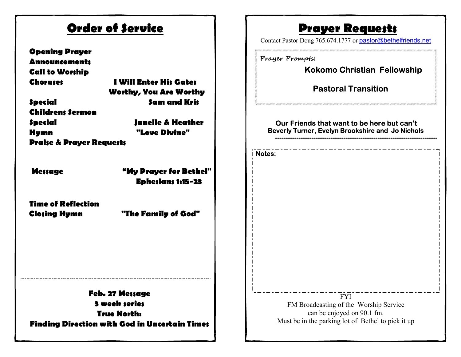| <b>Order of Service</b>                                                                                                                                                                                         |                                                                                                                             | <b>Prayer Requests</b><br>Contact Pastor Doug 765.674.1777 or pastor@bethelfriends.net                                                                                                                        |
|-----------------------------------------------------------------------------------------------------------------------------------------------------------------------------------------------------------------|-----------------------------------------------------------------------------------------------------------------------------|---------------------------------------------------------------------------------------------------------------------------------------------------------------------------------------------------------------|
| <b>Opening Prayer</b><br><b>Announcements</b><br><b>Call to Worship</b><br><b>Choruses</b><br><b>Special</b><br><b>Childrens Sermon</b><br><b>Special</b><br><b>Hymn</b><br><b>Praise &amp; Prayer Requests</b> | <b>I Will Enter His Gates</b><br><b>Worthy, You Are Worthy</b><br><b>Sam and Kris</b><br>Janelle & Heather<br>"Love Divine" | Prayer Prompts:<br><b>Kokomo Christian Fellowship</b><br><b>Pastoral Transition</b><br>Our Friends that want to be here but can't<br><b>Beverly Turner, Evelyn Brookshire and Jo Nichols</b><br><b>Notes:</b> |
| <b>Message</b>                                                                                                                                                                                                  | "My Prayer for Bethel"<br><b>Ephesians 1:15-23</b>                                                                          |                                                                                                                                                                                                               |
| <b>Time of Reflection</b><br><b>Closing Hymn</b>                                                                                                                                                                | "The Family of God"                                                                                                         |                                                                                                                                                                                                               |
| <b>Feb. 27 Message</b><br><b>3 week series</b><br><b>True North:</b><br><b>Finding Direction with God in Uncertain Times</b>                                                                                    |                                                                                                                             | <b>FYI</b><br>FM Broadcasting of the Worship Service<br>can be enjoyed on 90.1 fm.<br>Must be in the parking lot of Bethel to pick it up                                                                      |